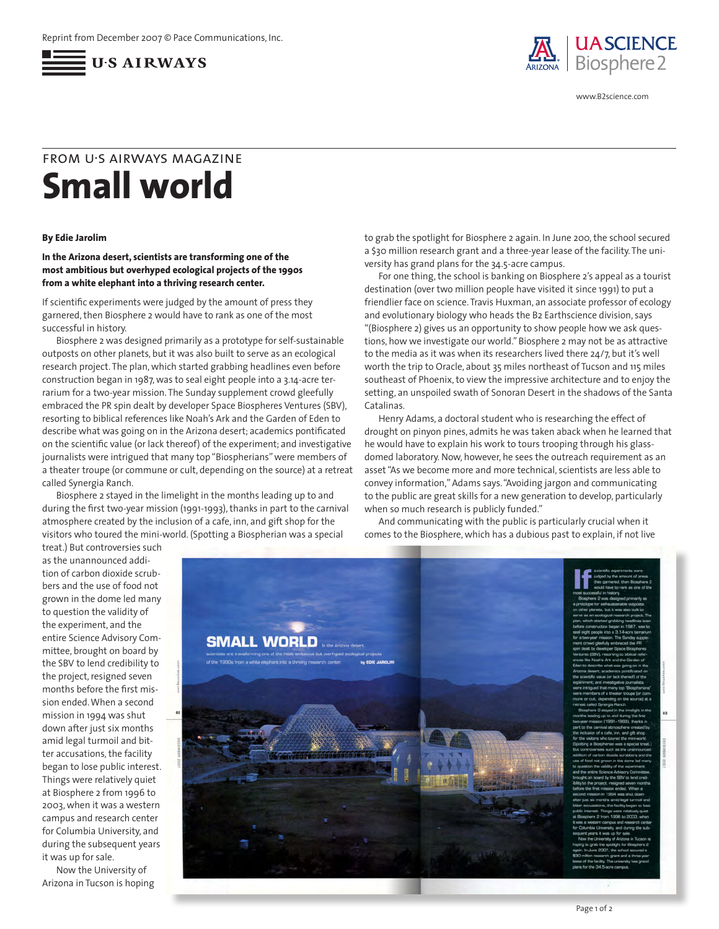



www.B2science.com

## **Small world** from u•s airways magazine

## **By Edie Jarolim**

## **In the Arizona desert, scientists are transforming one of the most ambitious but overhyped ecological projects of the 1990s from a white elephant into a thriving research center.**

If scientific experiments were judged by the amount of press they garnered, then Biosphere 2 would have to rank as one of the most successful in history.

Biosphere 2 was designed primarily as a prototype for self-sustainable outposts on other planets, but it was also built to serve as an ecological research project. The plan, which started grabbing headlines even before construction began in 1987, was to seal eight people into a 3.14-acre terrarium for a two-year mission. The Sunday supplement crowd gleefully embraced the PR spin dealt by developer Space Biospheres Ventures (SBV), resorting to biblical references like Noah's Ark and the Garden of Eden to describe what was going on in the Arizona desert; academics pontificated on the scientific value (or lack thereof) of the experiment; and investigative journalists were intrigued that many top "Biospherians" were members of a theater troupe (or commune or cult, depending on the source) at a retreat called Synergia Ranch.

Biosphere 2 stayed in the limelight in the months leading up to and during the first two-year mission (1991-1993), thanks in part to the carnival atmosphere created by the inclusion of a cafe, inn, and gift shop for the visitors who toured the mini-world. (Spotting a Biospherian was a special

to grab the spotlight for Biosphere 2 again. In June 200, the school secured a \$30 million research grant and a three-year lease of the facility. The university has grand plans for the 34.5-acre campus.

For one thing, the school is banking on Biosphere 2's appeal as a tourist destination (over two million people have visited it since 1991) to put a friendlier face on science. Travis Huxman, an associate professor of ecology and evolutionary biology who heads the B2 Earthscience division, says "(Biosphere 2) gives us an opportunity to show people how we ask questions, how we investigate our world." Biosphere 2 may not be as attractive to the media as it was when its researchers lived there 24/7, but it's well worth the trip to Oracle, about 35 miles northeast of Tucson and 115 miles southeast of Phoenix, to view the impressive architecture and to enjoy the setting, an unspoiled swath of Sonoran Desert in the shadows of the Santa Catalinas.

Henry Adams, a doctoral student who is researching the effect of drought on pinyon pines, admits he was taken aback when he learned that he would have to explain his work to tours trooping through his glassdomed laboratory. Now, however, he sees the outreach requirement as an asset "As we become more and more technical, scientists are less able to convey information," Adams says. "Avoiding jargon and communicating to the public are great skills for a new generation to develop, particularly when so much research is publicly funded."

And communicating with the public is particularly crucial when it comes to the Biosphere, which has a dubious past to explain, if not live

treat.) But controversies such as the unannounced addition of carbon dioxide scrubbers and the use of food not grown in the dome led many to question the validity of the experiment, and the entire Science Advisory Committee, brought on board by the SBV to lend credibility to the project, resigned seven months before the first mission ended. When a second mission in 1994 was shut down after just six months amid legal turmoil and bitter accusations, the facility began to lose public interest. Things were relatively quiet at Biosphere 2 from 1996 to 2003, when it was a western campus and research center for Columbia University, and during the subsequent years it was up for sale.

Now the University of Arizona in Tucson is hoping